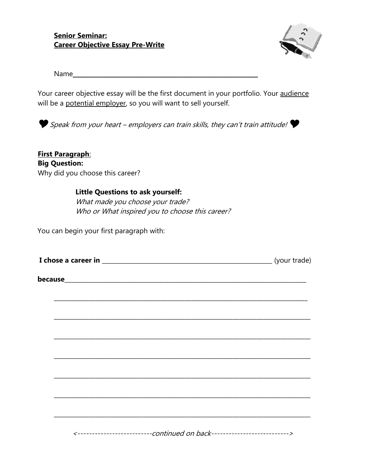**Senior Seminar: Career Objective Essay Pre-Write**



 $Name$ 

Your career objective essay will be the first document in your portfolio. Your audience will be a potential employer, so you will want to sell yourself.



Speak from your heart – employers can train skills, they can't train attitude!

**First Paragraph**: **Big Question:** Why did you choose this career?

## **Little Questions to ask yourself:**

What made you choose your trade? Who or What inspired you to choose this career?

You can begin your first paragraph with:

| I chose a career in | (your trade) |
|---------------------|--------------|
|---------------------|--------------|

**\_\_\_\_\_\_\_\_\_\_\_\_\_\_\_\_\_\_\_\_\_\_\_\_\_\_\_\_\_\_\_\_\_\_\_\_\_\_\_\_\_\_\_\_\_\_\_\_\_\_\_\_\_\_\_\_\_\_\_\_\_\_\_\_\_\_\_\_\_\_\_\_\_\_\_\_\_\_\_\_\_\_\_\_\_**

**because\_\_\_\_\_\_\_\_\_\_\_\_\_\_\_\_\_\_\_\_\_\_\_\_\_\_\_\_\_\_\_\_\_\_\_\_\_\_\_\_\_\_\_\_\_\_\_\_\_\_\_\_\_\_\_\_\_\_\_\_\_\_\_\_\_\_\_\_\_\_\_\_\_\_\_\_\_\_\_\_\_**

| $\mathcal{L} = \mathcal{L} \mathcal{L}$ and $\mathcal{L} = \mathcal{L} \mathcal{L}$ and $\mathcal{L} = \mathcal{L}$ |  |
|---------------------------------------------------------------------------------------------------------------------|--|

<--------------------------continued on back--------------------------->